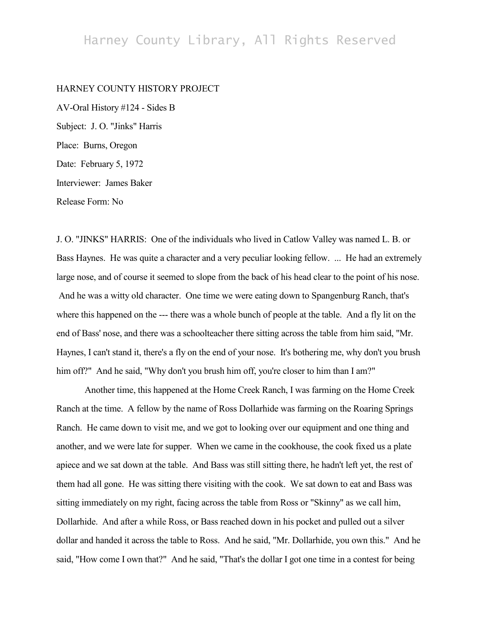## Harney County Library, All Rights Reserved

## HARNEY COUNTY HISTORY PROJECT

AV-Oral History #124 - Sides B Subject: J. O. "Jinks" Harris Place: Burns, Oregon Date: February 5, 1972 Interviewer: James Baker Release Form: No

J. O. "JINKS" HARRIS: One of the individuals who lived in Catlow Valley was named L. B. or Bass Haynes. He was quite a character and a very peculiar looking fellow. ... He had an extremely large nose, and of course it seemed to slope from the back of his head clear to the point of his nose. And he was a witty old character. One time we were eating down to Spangenburg Ranch, that's where this happened on the --- there was a whole bunch of people at the table. And a fly lit on the end of Bass' nose, and there was a schoolteacher there sitting across the table from him said, "Mr. Haynes, I can't stand it, there's a fly on the end of your nose. It's bothering me, why don't you brush him off?" And he said, "Why don't you brush him off, you're closer to him than I am?"

Another time, this happened at the Home Creek Ranch, I was farming on the Home Creek Ranch at the time. A fellow by the name of Ross Dollarhide was farming on the Roaring Springs Ranch. He came down to visit me, and we got to looking over our equipment and one thing and another, and we were late for supper. When we came in the cookhouse, the cook fixed us a plate apiece and we sat down at the table. And Bass was still sitting there, he hadn't left yet, the rest of them had all gone. He was sitting there visiting with the cook. We sat down to eat and Bass was sitting immediately on my right, facing across the table from Ross or "Skinny" as we call him, Dollarhide. And after a while Ross, or Bass reached down in his pocket and pulled out a silver dollar and handed it across the table to Ross. And he said, "Mr. Dollarhide, you own this." And he said, "How come I own that?" And he said, "That's the dollar I got one time in a contest for being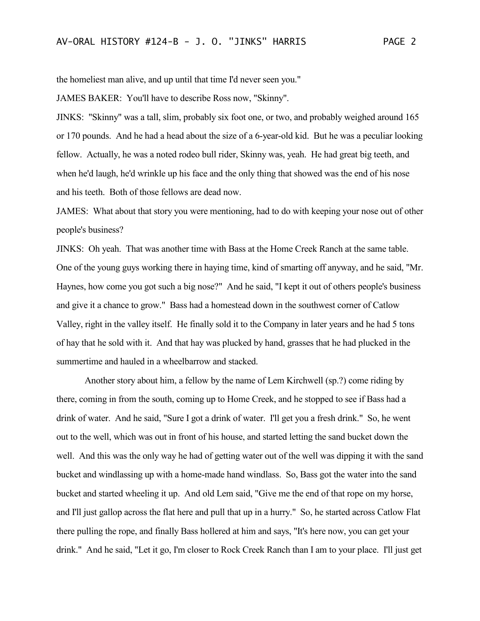the homeliest man alive, and up until that time I'd never seen you."

JAMES BAKER: You'll have to describe Ross now, "Skinny".

JINKS: "Skinny" was a tall, slim, probably six foot one, or two, and probably weighed around 165 or 170 pounds. And he had a head about the size of a 6-year-old kid. But he was a peculiar looking fellow. Actually, he was a noted rodeo bull rider, Skinny was, yeah. He had great big teeth, and when he'd laugh, he'd wrinkle up his face and the only thing that showed was the end of his nose and his teeth. Both of those fellows are dead now.

JAMES: What about that story you were mentioning, had to do with keeping your nose out of other people's business?

JINKS: Oh yeah. That was another time with Bass at the Home Creek Ranch at the same table. One of the young guys working there in haying time, kind of smarting off anyway, and he said, "Mr. Haynes, how come you got such a big nose?" And he said, "I kept it out of others people's business and give it a chance to grow." Bass had a homestead down in the southwest corner of Catlow Valley, right in the valley itself. He finally sold it to the Company in later years and he had 5 tons of hay that he sold with it. And that hay was plucked by hand, grasses that he had plucked in the summertime and hauled in a wheelbarrow and stacked.

Another story about him, a fellow by the name of Lem Kirchwell (sp.?) come riding by there, coming in from the south, coming up to Home Creek, and he stopped to see if Bass had a drink of water. And he said, "Sure I got a drink of water. I'll get you a fresh drink." So, he went out to the well, which was out in front of his house, and started letting the sand bucket down the well. And this was the only way he had of getting water out of the well was dipping it with the sand bucket and windlassing up with a home-made hand windlass. So, Bass got the water into the sand bucket and started wheeling it up. And old Lem said, "Give me the end of that rope on my horse, and I'll just gallop across the flat here and pull that up in a hurry." So, he started across Catlow Flat there pulling the rope, and finally Bass hollered at him and says, "It's here now, you can get your drink." And he said, "Let it go, I'm closer to Rock Creek Ranch than I am to your place. I'll just get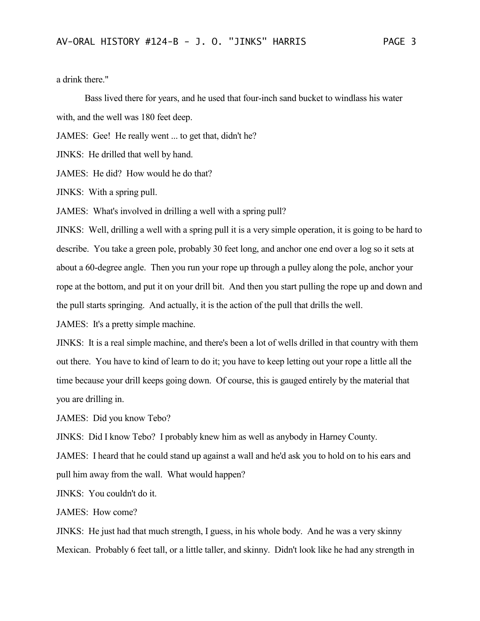a drink there."

Bass lived there for years, and he used that four-inch sand bucket to windlass his water with, and the well was 180 feet deep.

JAMES: Gee! He really went ... to get that, didn't he?

JINKS: He drilled that well by hand.

JAMES: He did? How would he do that?

JINKS: With a spring pull.

JAMES: What's involved in drilling a well with a spring pull?

JINKS: Well, drilling a well with a spring pull it is a very simple operation, it is going to be hard to describe. You take a green pole, probably 30 feet long, and anchor one end over a log so it sets at about a 60-degree angle. Then you run your rope up through a pulley along the pole, anchor your rope at the bottom, and put it on your drill bit. And then you start pulling the rope up and down and the pull starts springing. And actually, it is the action of the pull that drills the well.

JAMES: It's a pretty simple machine.

JINKS: It is a real simple machine, and there's been a lot of wells drilled in that country with them out there. You have to kind of learn to do it; you have to keep letting out your rope a little all the time because your drill keeps going down. Of course, this is gauged entirely by the material that you are drilling in.

JAMES: Did you know Tebo?

JINKS: Did I know Tebo? I probably knew him as well as anybody in Harney County.

JAMES: I heard that he could stand up against a wall and he'd ask you to hold on to his ears and pull him away from the wall. What would happen?

JINKS: You couldn't do it.

JAMES: How come?

JINKS: He just had that much strength, I guess, in his whole body. And he was a very skinny Mexican. Probably 6 feet tall, or a little taller, and skinny. Didn't look like he had any strength in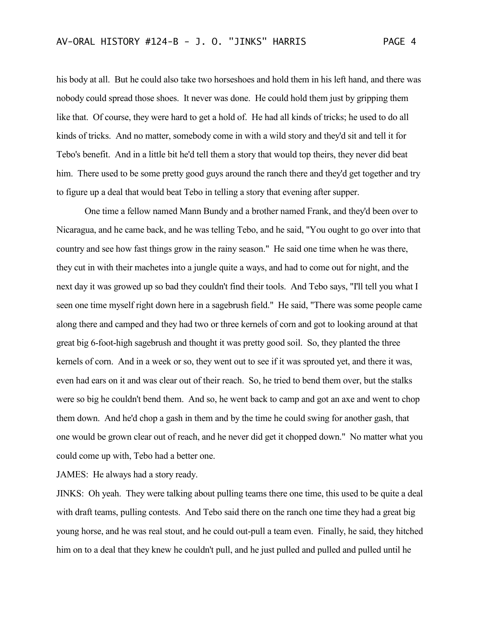his body at all. But he could also take two horseshoes and hold them in his left hand, and there was nobody could spread those shoes. It never was done. He could hold them just by gripping them like that. Of course, they were hard to get a hold of. He had all kinds of tricks; he used to do all kinds of tricks. And no matter, somebody come in with a wild story and they'd sit and tell it for Tebo's benefit. And in a little bit he'd tell them a story that would top theirs, they never did beat him. There used to be some pretty good guys around the ranch there and they'd get together and try to figure up a deal that would beat Tebo in telling a story that evening after supper.

One time a fellow named Mann Bundy and a brother named Frank, and they'd been over to Nicaragua, and he came back, and he was telling Tebo, and he said, "You ought to go over into that country and see how fast things grow in the rainy season." He said one time when he was there, they cut in with their machetes into a jungle quite a ways, and had to come out for night, and the next day it was growed up so bad they couldn't find their tools. And Tebo says, "I'll tell you what I seen one time myself right down here in a sagebrush field." He said, "There was some people came along there and camped and they had two or three kernels of corn and got to looking around at that great big 6-foot-high sagebrush and thought it was pretty good soil. So, they planted the three kernels of corn. And in a week or so, they went out to see if it was sprouted yet, and there it was, even had ears on it and was clear out of their reach. So, he tried to bend them over, but the stalks were so big he couldn't bend them. And so, he went back to camp and got an axe and went to chop them down. And he'd chop a gash in them and by the time he could swing for another gash, that one would be grown clear out of reach, and he never did get it chopped down." No matter what you could come up with, Tebo had a better one.

JAMES: He always had a story ready.

JINKS: Oh yeah. They were talking about pulling teams there one time, this used to be quite a deal with draft teams, pulling contests. And Tebo said there on the ranch one time they had a great big young horse, and he was real stout, and he could out-pull a team even. Finally, he said, they hitched him on to a deal that they knew he couldn't pull, and he just pulled and pulled and pulled until he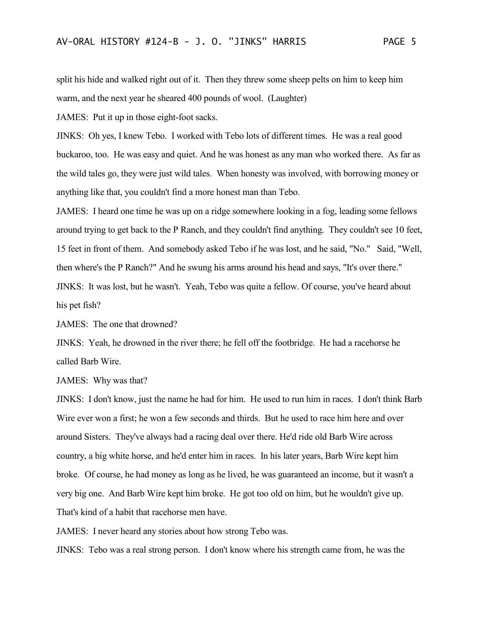split his hide and walked right out of it. Then they threw some sheep pelts on him to keep him warm, and the next year he sheared 400 pounds of wool. (Laughter)

JAMES: Put it up in those eight-foot sacks.

JINKS: Oh yes, I knew Tebo. I worked with Tebo lots of different times. He was a real good buckaroo, too. He was easy and quiet. And he was honest as any man who worked there. As far as the wild tales go, they were just wild tales. When honesty was involved, with borrowing money or anything like that, you couldn't find a more honest man than Tebo.

JAMES: I heard one time he was up on a ridge somewhere looking in a fog, leading some fellows around trying to get back to the P Ranch, and they couldn't find anything. They couldn't see 10 feet, 15 feet in front of them. And somebody asked Tebo if he was lost, and he said, "No." Said, "Well, then where's the P Ranch?" And he swung his arms around his head and says, "It's over there." JINKS: It was lost, but he wasn't. Yeah, Tebo was quite a fellow. Of course, you've heard about his pet fish?

JAMES: The one that drowned?

JINKS: Yeah, he drowned in the river there; he fell off the footbridge. He had a racehorse he called Barb Wire.

JAMES: Why was that?

JINKS: I don't know, just the name he had for him. He used to run him in races. I don't think Barb Wire ever won a first; he won a few seconds and thirds. But he used to race him here and over around Sisters. They've always had a racing deal over there. He'd ride old Barb Wire across country, a big white horse, and he'd enter him in races. In his later years, Barb Wire kept him broke. Of course, he had money as long as he lived, he was guaranteed an income, but it wasn't a very big one. And Barb Wire kept him broke. He got too old on him, but he wouldn't give up. That's kind of a habit that racehorse men have.

JAMES: I never heard any stories about how strong Tebo was.

JINKS: Tebo was a real strong person. I don't know where his strength came from, he was the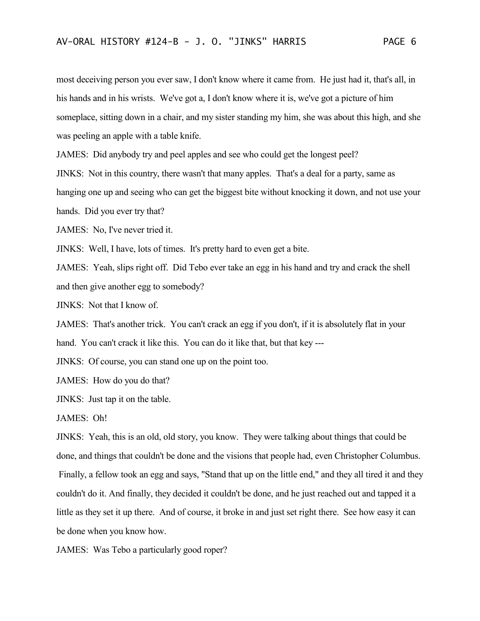most deceiving person you ever saw, I don't know where it came from. He just had it, that's all, in his hands and in his wrists. We've got a, I don't know where it is, we've got a picture of him someplace, sitting down in a chair, and my sister standing my him, she was about this high, and she was peeling an apple with a table knife.

JAMES: Did anybody try and peel apples and see who could get the longest peel?

JINKS: Not in this country, there wasn't that many apples. That's a deal for a party, same as

hanging one up and seeing who can get the biggest bite without knocking it down, and not use your

hands. Did you ever try that?

JAMES: No, I've never tried it.

JINKS: Well, I have, lots of times. It's pretty hard to even get a bite.

JAMES: Yeah, slips right off. Did Tebo ever take an egg in his hand and try and crack the shell and then give another egg to somebody?

JINKS: Not that I know of.

JAMES: That's another trick. You can't crack an egg if you don't, if it is absolutely flat in your hand. You can't crack it like this. You can do it like that, but that key ---

JINKS: Of course, you can stand one up on the point too.

JAMES: How do you do that?

JINKS: Just tap it on the table.

JAMES: Oh!

JINKS: Yeah, this is an old, old story, you know. They were talking about things that could be done, and things that couldn't be done and the visions that people had, even Christopher Columbus. Finally, a fellow took an egg and says, "Stand that up on the little end," and they all tired it and they couldn't do it. And finally, they decided it couldn't be done, and he just reached out and tapped it a little as they set it up there. And of course, it broke in and just set right there. See how easy it can be done when you know how.

JAMES: Was Tebo a particularly good roper?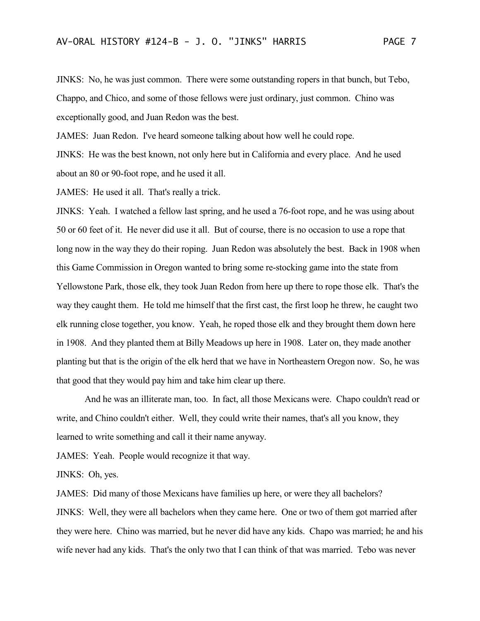JINKS: No, he was just common. There were some outstanding ropers in that bunch, but Tebo, Chappo, and Chico, and some of those fellows were just ordinary, just common. Chino was exceptionally good, and Juan Redon was the best.

JAMES: Juan Redon. I've heard someone talking about how well he could rope. JINKS: He was the best known, not only here but in California and every place. And he used about an 80 or 90-foot rope, and he used it all.

JAMES: He used it all. That's really a trick.

JINKS: Yeah. I watched a fellow last spring, and he used a 76-foot rope, and he was using about 50 or 60 feet of it. He never did use it all. But of course, there is no occasion to use a rope that long now in the way they do their roping. Juan Redon was absolutely the best. Back in 1908 when this Game Commission in Oregon wanted to bring some re-stocking game into the state from Yellowstone Park, those elk, they took Juan Redon from here up there to rope those elk. That's the way they caught them. He told me himself that the first cast, the first loop he threw, he caught two elk running close together, you know. Yeah, he roped those elk and they brought them down here in 1908. And they planted them at Billy Meadows up here in 1908. Later on, they made another planting but that is the origin of the elk herd that we have in Northeastern Oregon now. So, he was that good that they would pay him and take him clear up there.

And he was an illiterate man, too. In fact, all those Mexicans were. Chapo couldn't read or write, and Chino couldn't either. Well, they could write their names, that's all you know, they learned to write something and call it their name anyway.

JAMES: Yeah. People would recognize it that way.

JINKS: Oh, yes.

JAMES: Did many of those Mexicans have families up here, or were they all bachelors? JINKS: Well, they were all bachelors when they came here. One or two of them got married after they were here. Chino was married, but he never did have any kids. Chapo was married; he and his wife never had any kids. That's the only two that I can think of that was married. Tebo was never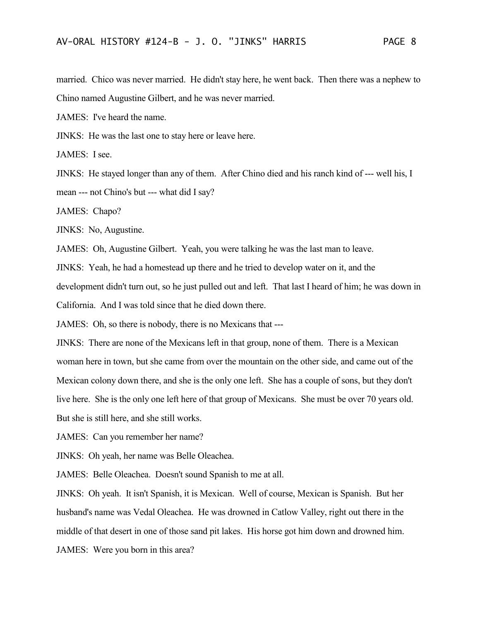married. Chico was never married. He didn't stay here, he went back. Then there was a nephew to Chino named Augustine Gilbert, and he was never married.

JAMES: I've heard the name.

JINKS: He was the last one to stay here or leave here.

JAMES: I see.

JINKS: He stayed longer than any of them. After Chino died and his ranch kind of --- well his, I mean --- not Chino's but --- what did I say?

JAMES: Chapo?

JINKS: No, Augustine.

JAMES: Oh, Augustine Gilbert. Yeah, you were talking he was the last man to leave.

JINKS: Yeah, he had a homestead up there and he tried to develop water on it, and the

development didn't turn out, so he just pulled out and left. That last I heard of him; he was down in

California. And I was told since that he died down there.

JAMES: Oh, so there is nobody, there is no Mexicans that ---

JINKS: There are none of the Mexicans left in that group, none of them. There is a Mexican woman here in town, but she came from over the mountain on the other side, and came out of the Mexican colony down there, and she is the only one left. She has a couple of sons, but they don't live here. She is the only one left here of that group of Mexicans. She must be over 70 years old. But she is still here, and she still works.

JAMES: Can you remember her name?

JINKS: Oh yeah, her name was Belle Oleachea.

JAMES: Belle Oleachea. Doesn't sound Spanish to me at all.

JINKS: Oh yeah. It isn't Spanish, it is Mexican. Well of course, Mexican is Spanish. But her husband's name was Vedal Oleachea. He was drowned in Catlow Valley, right out there in the middle of that desert in one of those sand pit lakes. His horse got him down and drowned him. JAMES: Were you born in this area?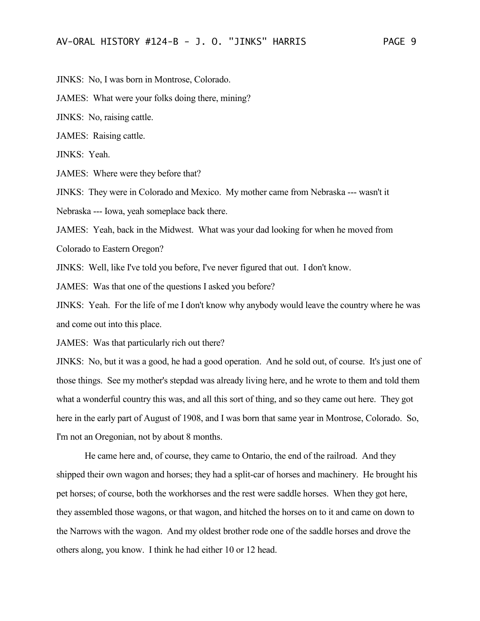JINKS: No, I was born in Montrose, Colorado.

JAMES: What were your folks doing there, mining?

JINKS: No, raising cattle.

JAMES: Raising cattle.

JINKS: Yeah.

JAMES: Where were they before that?

JINKS: They were in Colorado and Mexico. My mother came from Nebraska --- wasn't it Nebraska --- Iowa, yeah someplace back there.

JAMES: Yeah, back in the Midwest. What was your dad looking for when he moved from

Colorado to Eastern Oregon?

JINKS: Well, like I've told you before, I've never figured that out. I don't know.

JAMES: Was that one of the questions I asked you before?

JINKS: Yeah. For the life of me I don't know why anybody would leave the country where he was and come out into this place.

JAMES: Was that particularly rich out there?

JINKS: No, but it was a good, he had a good operation. And he sold out, of course. It's just one of those things. See my mother's stepdad was already living here, and he wrote to them and told them what a wonderful country this was, and all this sort of thing, and so they came out here. They got here in the early part of August of 1908, and I was born that same year in Montrose, Colorado. So, I'm not an Oregonian, not by about 8 months.

He came here and, of course, they came to Ontario, the end of the railroad. And they shipped their own wagon and horses; they had a split-car of horses and machinery. He brought his pet horses; of course, both the workhorses and the rest were saddle horses. When they got here, they assembled those wagons, or that wagon, and hitched the horses on to it and came on down to the Narrows with the wagon. And my oldest brother rode one of the saddle horses and drove the others along, you know. I think he had either 10 or 12 head.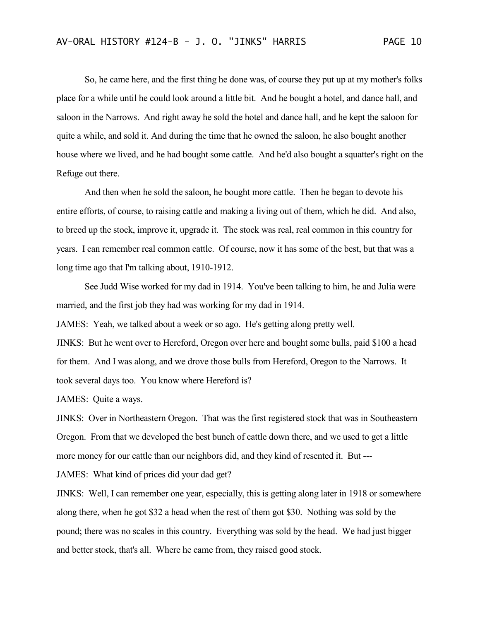So, he came here, and the first thing he done was, of course they put up at my mother's folks place for a while until he could look around a little bit. And he bought a hotel, and dance hall, and saloon in the Narrows. And right away he sold the hotel and dance hall, and he kept the saloon for quite a while, and sold it. And during the time that he owned the saloon, he also bought another house where we lived, and he had bought some cattle. And he'd also bought a squatter's right on the Refuge out there.

And then when he sold the saloon, he bought more cattle. Then he began to devote his entire efforts, of course, to raising cattle and making a living out of them, which he did. And also, to breed up the stock, improve it, upgrade it. The stock was real, real common in this country for years. I can remember real common cattle. Of course, now it has some of the best, but that was a long time ago that I'm talking about, 1910-1912.

See Judd Wise worked for my dad in 1914. You've been talking to him, he and Julia were married, and the first job they had was working for my dad in 1914.

JAMES: Yeah, we talked about a week or so ago. He's getting along pretty well.

JINKS: But he went over to Hereford, Oregon over here and bought some bulls, paid \$100 a head for them. And I was along, and we drove those bulls from Hereford, Oregon to the Narrows. It took several days too. You know where Hereford is?

JAMES: Quite a ways.

JINKS: Over in Northeastern Oregon. That was the first registered stock that was in Southeastern Oregon. From that we developed the best bunch of cattle down there, and we used to get a little more money for our cattle than our neighbors did, and they kind of resented it. But ---

JAMES: What kind of prices did your dad get?

JINKS: Well, I can remember one year, especially, this is getting along later in 1918 or somewhere along there, when he got \$32 a head when the rest of them got \$30. Nothing was sold by the pound; there was no scales in this country. Everything was sold by the head. We had just bigger and better stock, that's all. Where he came from, they raised good stock.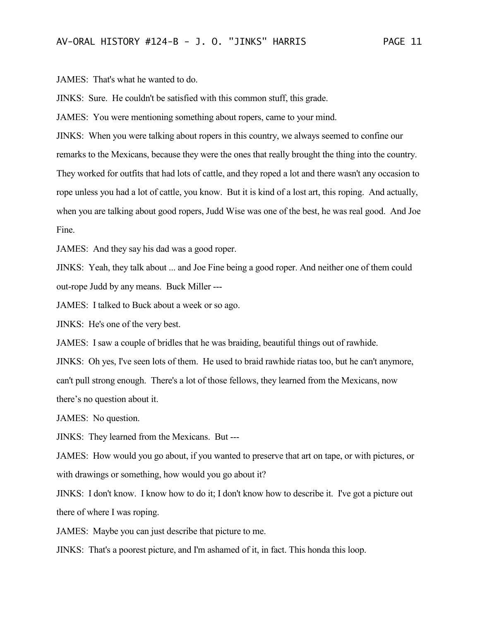JAMES: That's what he wanted to do.

JINKS: Sure. He couldn't be satisfied with this common stuff, this grade.

JAMES: You were mentioning something about ropers, came to your mind.

JINKS: When you were talking about ropers in this country, we always seemed to confine our remarks to the Mexicans, because they were the ones that really brought the thing into the country. They worked for outfits that had lots of cattle, and they roped a lot and there wasn't any occasion to rope unless you had a lot of cattle, you know. But it is kind of a lost art, this roping. And actually, when you are talking about good ropers, Judd Wise was one of the best, he was real good. And Joe Fine.

JAMES: And they say his dad was a good roper.

JINKS: Yeah, they talk about ... and Joe Fine being a good roper. And neither one of them could out-rope Judd by any means. Buck Miller ---

JAMES: I talked to Buck about a week or so ago.

JINKS: He's one of the very best.

JAMES: I saw a couple of bridles that he was braiding, beautiful things out of rawhide.

JINKS: Oh yes, I've seen lots of them. He used to braid rawhide riatas too, but he can't anymore, can't pull strong enough. There's a lot of those fellows, they learned from the Mexicans, now there's no question about it.

JAMES: No question.

JINKS: They learned from the Mexicans. But ---

JAMES: How would you go about, if you wanted to preserve that art on tape, or with pictures, or with drawings or something, how would you go about it?

JINKS: I don't know. I know how to do it; I don't know how to describe it. I've got a picture out there of where I was roping.

JAMES: Maybe you can just describe that picture to me.

JINKS: That's a poorest picture, and I'm ashamed of it, in fact. This honda this loop.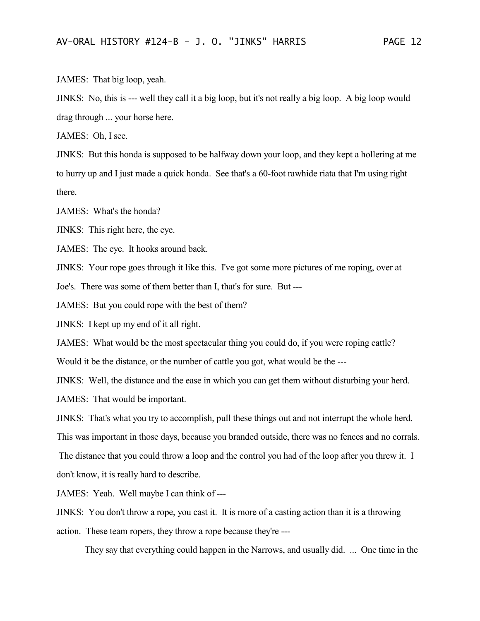JAMES: That big loop, yeah.

JINKS: No, this is --- well they call it a big loop, but it's not really a big loop. A big loop would drag through ... your horse here.

JAMES: Oh, I see.

JINKS: But this honda is supposed to be halfway down your loop, and they kept a hollering at me to hurry up and I just made a quick honda. See that's a 60-foot rawhide riata that I'm using right there.

JAMES: What's the honda?

JINKS: This right here, the eye.

JAMES: The eye. It hooks around back.

JINKS: Your rope goes through it like this. I've got some more pictures of me roping, over at

Joe's. There was some of them better than I, that's for sure. But ---

JAMES: But you could rope with the best of them?

JINKS: I kept up my end of it all right.

JAMES: What would be the most spectacular thing you could do, if you were roping cattle?

Would it be the distance, or the number of cattle you got, what would be the ---

JINKS: Well, the distance and the ease in which you can get them without disturbing your herd.

JAMES: That would be important.

JINKS: That's what you try to accomplish, pull these things out and not interrupt the whole herd.

This was important in those days, because you branded outside, there was no fences and no corrals.

The distance that you could throw a loop and the control you had of the loop after you threw it. I don't know, it is really hard to describe.

JAMES: Yeah. Well maybe I can think of ---

JINKS: You don't throw a rope, you cast it. It is more of a casting action than it is a throwing action. These team ropers, they throw a rope because they're ---

They say that everything could happen in the Narrows, and usually did. ... One time in the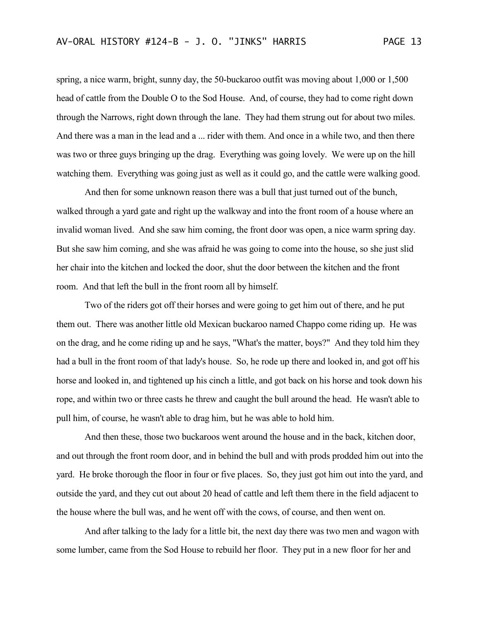spring, a nice warm, bright, sunny day, the 50-buckaroo outfit was moving about 1,000 or 1,500 head of cattle from the Double O to the Sod House. And, of course, they had to come right down through the Narrows, right down through the lane. They had them strung out for about two miles. And there was a man in the lead and a ... rider with them. And once in a while two, and then there was two or three guys bringing up the drag. Everything was going lovely. We were up on the hill watching them. Everything was going just as well as it could go, and the cattle were walking good.

And then for some unknown reason there was a bull that just turned out of the bunch, walked through a yard gate and right up the walkway and into the front room of a house where an invalid woman lived. And she saw him coming, the front door was open, a nice warm spring day. But she saw him coming, and she was afraid he was going to come into the house, so she just slid her chair into the kitchen and locked the door, shut the door between the kitchen and the front room. And that left the bull in the front room all by himself.

Two of the riders got off their horses and were going to get him out of there, and he put them out. There was another little old Mexican buckaroo named Chappo come riding up. He was on the drag, and he come riding up and he says, "What's the matter, boys?" And they told him they had a bull in the front room of that lady's house. So, he rode up there and looked in, and got off his horse and looked in, and tightened up his cinch a little, and got back on his horse and took down his rope, and within two or three casts he threw and caught the bull around the head. He wasn't able to pull him, of course, he wasn't able to drag him, but he was able to hold him.

And then these, those two buckaroos went around the house and in the back, kitchen door, and out through the front room door, and in behind the bull and with prods prodded him out into the yard. He broke thorough the floor in four or five places. So, they just got him out into the yard, and outside the yard, and they cut out about 20 head of cattle and left them there in the field adjacent to the house where the bull was, and he went off with the cows, of course, and then went on.

And after talking to the lady for a little bit, the next day there was two men and wagon with some lumber, came from the Sod House to rebuild her floor. They put in a new floor for her and